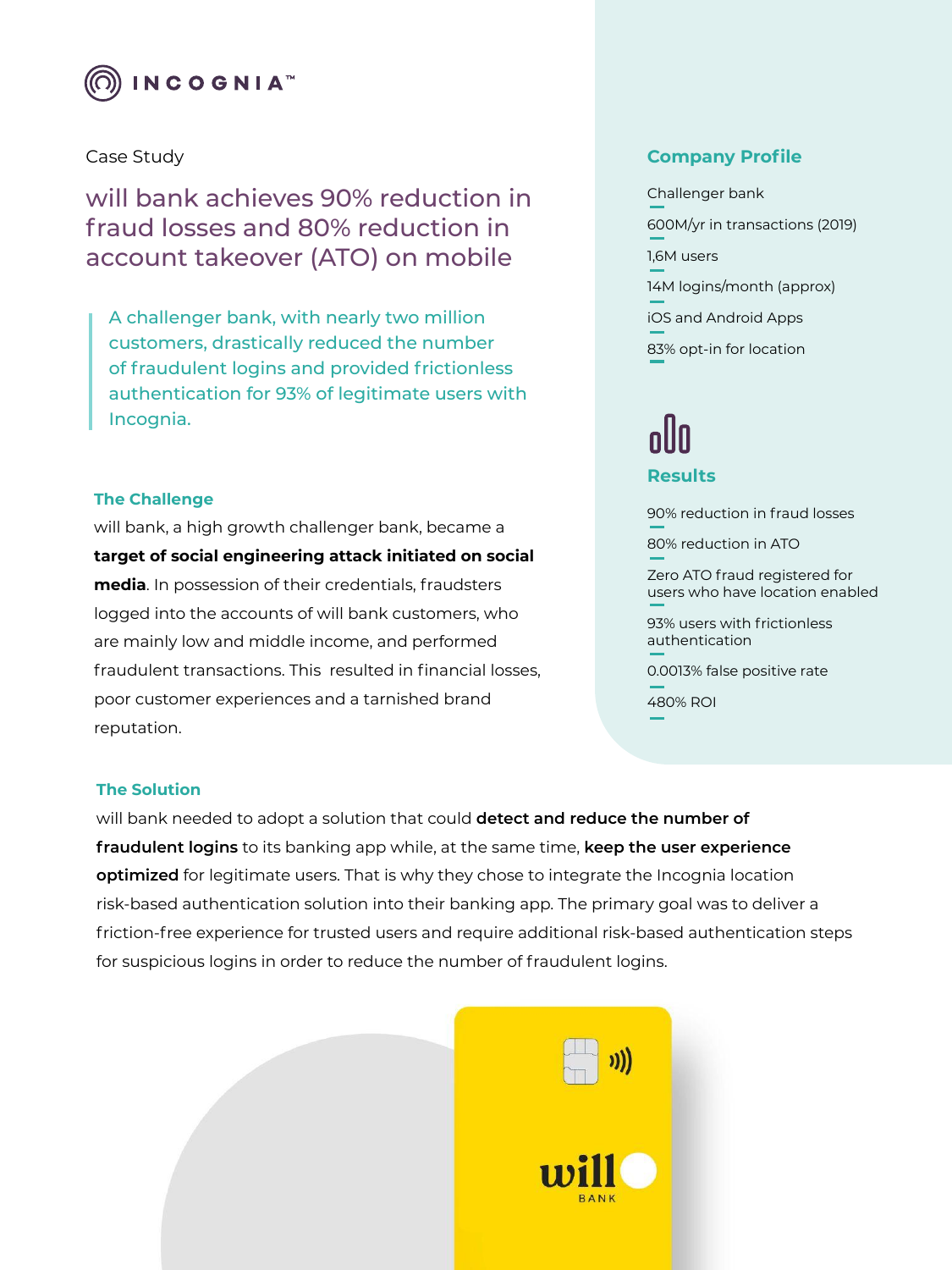

# Case Study

will bank achieves 90% reduction in fraud losses and 80% reduction in account takeover (ATO) on mobile

A challenger bank, with nearly two million customers, drastically reduced the number of fraudulent logins and provided frictionless authentication for 93% of legitimate users with Incognia.

## **The Challenge**

will bank, a high growth challenger bank, became a **target of social engineering attack initiated on social media**. In possession of their credentials, fraudsters logged into the accounts of will bank customers, who are mainly low and middle income, and performed fraudulent transactions. This resulted in financial losses, poor customer experiences and a tarnished brand reputation.

# **Company Profile**

Challenger bank 600M/yr in transactions (2019) 1,6M users 14M logins/month (approx) iOS and Android Apps 83% opt-in for location

# **Results**

90% reduction in fraud losses

80% reduction in ATO

Zero ATO fraud registered for users who have location enabled

93% users with frictionless authentication

0.0013% false positive rate

480% ROI

### **The Solution**

will bank needed to adopt a solution that could **detect and reduce the number of fraudulent logins** to its banking app while, at the same time, **keep the user experience optimized** for legitimate users. That is why they chose to integrate the Incognia location risk-based authentication solution into their banking app. The primary goal was to deliver a friction-free experience for trusted users and require additional risk-based authentication steps for suspicious logins in order to reduce the number of fraudulent logins.

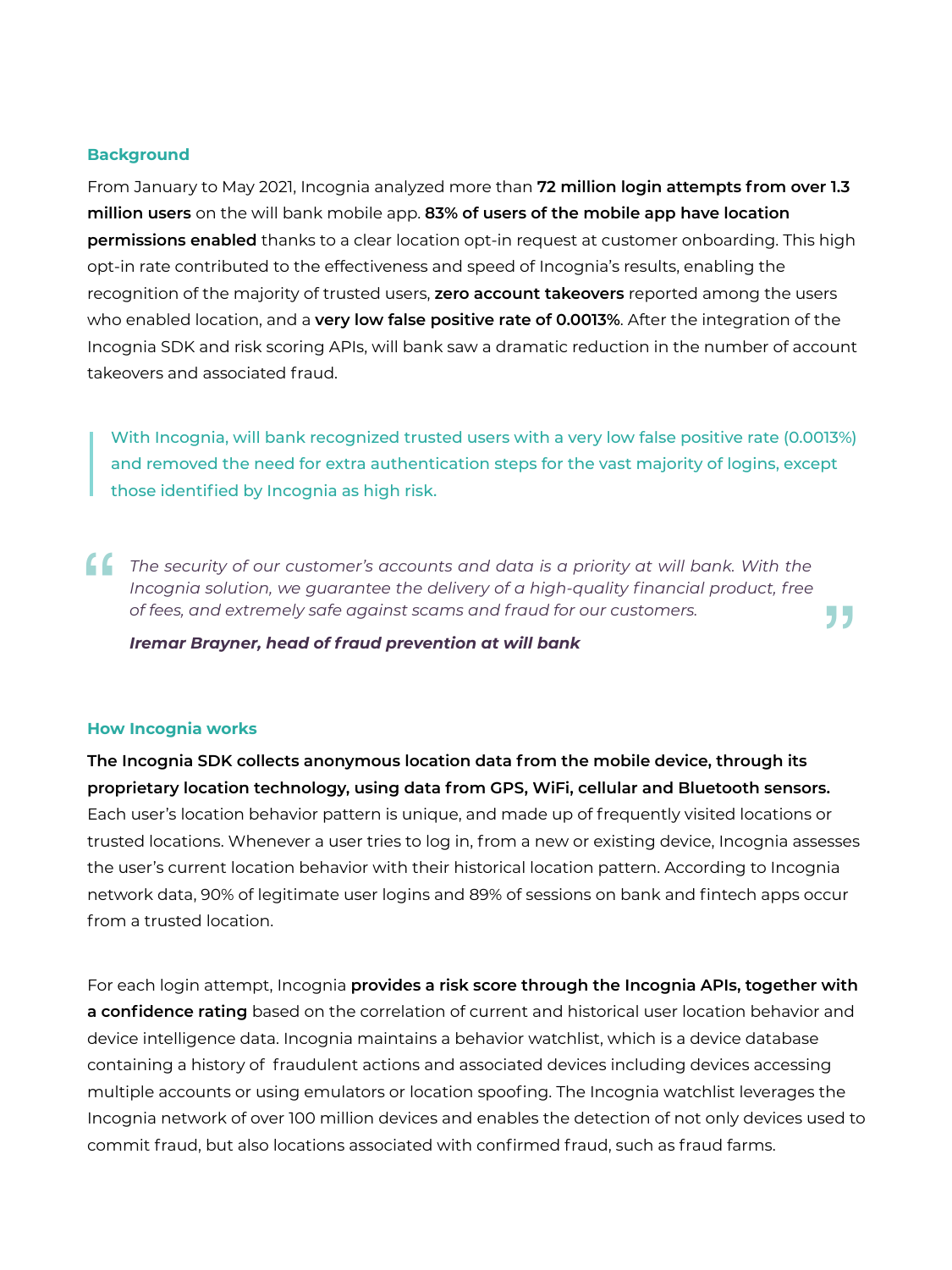#### **Background**

From January to May 2021, Incognia analyzed more than **72 million login attempts from over 1.3 million users** on the will bank mobile app. **83% of users of the mobile app have location permissions enabled** thanks to a clear location opt-in request at customer onboarding. This high opt-in rate contributed to the effectiveness and speed of Incognia's results, enabling the recognition of the majority of trusted users, **zero account takeovers** reported among the users who enabled location, and a **very low false positive rate of 0.0013%**. After the integration of the Incognia SDK and risk scoring APIs, will bank saw a dramatic reduction in the number of account takeovers and associated fraud.

With Incognia, will bank recognized trusted users with a very low false positive rate (0.0013%) and removed the need for extra authentication steps for the vast majority of logins, except those identified by Incognia as high risk.

"

The security of our customer's accounts and data is a priority at will bank. With the Incognia solution, we guarantee the delivery of a high-quality financial product, free of fees, and extremely safe against scams and fra *Incognia solution, we guarantee the delivery of a high-quality financial product, free of fees, and extremely safe against scams and fraud for our customers.*

*Iremar Brayner, head of fraud prevention at will bank*

#### **How Incognia works**

**The Incognia SDK collects anonymous location data from the mobile device, through its proprietary location technology, using data from GPS, WiFi, cellular and Bluetooth sensors.**  Each user's location behavior pattern is unique, and made up of frequently visited locations or trusted locations. Whenever a user tries to log in, from a new or existing device, Incognia assesses the user's current location behavior with their historical location pattern. According to Incognia network data, 90% of legitimate user logins and 89% of sessions on bank and fintech apps occur from a trusted location.

For each login attempt, Incognia **provides a risk score through the Incognia APIs, together with a confidence rating** based on the correlation of current and historical user location behavior and device intelligence data. Incognia maintains a behavior watchlist, which is a device database containing a history of fraudulent actions and associated devices including devices accessing multiple accounts or using emulators or location spoofing. The Incognia watchlist leverages the Incognia network of over 100 million devices and enables the detection of not only devices used to commit fraud, but also locations associated with confirmed fraud, such as fraud farms.